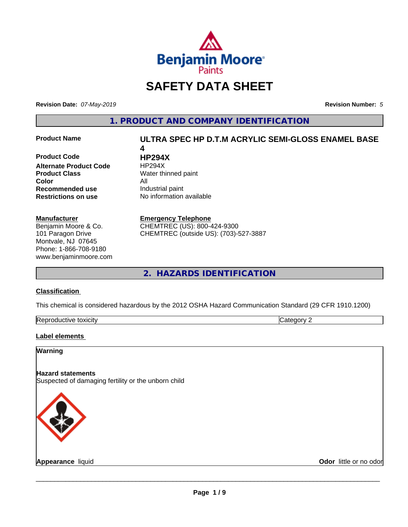

# **SAFETY DATA SHEET**

**Revision Date:** *07-May-2019* **Revision Number:** *5*

**1. PRODUCT AND COMPANY IDENTIFICATION**

**Product Code HP294X Alternate Product Code** HP294X **Product Class** Water thinned paint **Color** All **Recommended use** Industrial paint **Restrictions on use** No information available

#### **Manufacturer**

Benjamin Moore & Co. 101 Paragon Drive Montvale, NJ 07645 Phone: 1-866-708-9180 www.benjaminmoore.com

# **Product Name ULTRA SPEC HP D.T.M ACRYLIC SEMI-GLOSS ENAMEL BASE 4**

**Emergency Telephone**

CHEMTREC (US): 800-424-9300 CHEMTREC (outside US): (703)-527-3887

**2. HAZARDS IDENTIFICATION**

#### **Classification**

This chemical is considered hazardous by the 2012 OSHA Hazard Communication Standard (29 CFR 1910.1200)

| toxicity<br>Repr.<br>oductive | ĸ<br>- - -<br>.ат<br>ιr<br>51 J L |
|-------------------------------|-----------------------------------|

#### **Label elements**

### **Warning**

**Hazard statements** Suspected of damaging fertility or the unborn child



**Appearance** liquid **Contract Contract Contract Contract Contract Contract Contract Contract Contract Contract Contract Contract Contract Contract Contract Contract Contract Contract Contract Contract Contract Contract Con**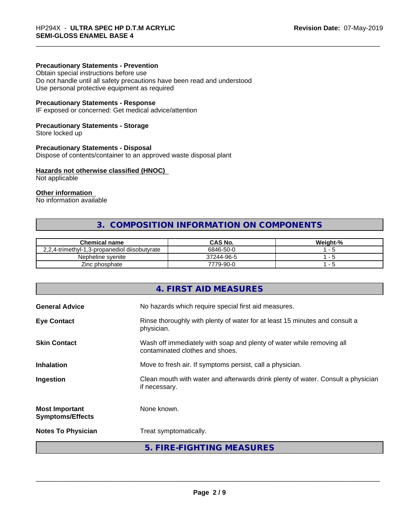#### **Precautionary Statements - Prevention**

Obtain special instructions before use Do not handle until all safety precautions have been read and understood Use personal protective equipment as required

#### **Precautionary Statements - Response**

IF exposed or concerned: Get medical advice/attention

#### **Precautionary Statements - Storage**

Store locked up

#### **Precautionary Statements - Disposal**

Dispose of contents/container to an approved waste disposal plant

#### **Hazards not otherwise classified (HNOC)**

Not applicable

## **Other information**

No information available

# **3. COMPOSITION INFORMATION ON COMPONENTS**

| <b>Chemical name</b>                          | CAS No.    | Weight-% |
|-----------------------------------------------|------------|----------|
| 2.2.4-trimethyl-1.3-propanediol diisobutyrate | 6846-50-0  |          |
| Nepheline svenite                             | 37244-96-5 |          |
| Zinc phosphate                                | 7779-90-0  |          |

|                                                  | 4. FIRST AID MEASURES                                                                                    |
|--------------------------------------------------|----------------------------------------------------------------------------------------------------------|
| <b>General Advice</b>                            | No hazards which require special first aid measures.                                                     |
| <b>Eye Contact</b>                               | Rinse thoroughly with plenty of water for at least 15 minutes and consult a<br>physician.                |
| <b>Skin Contact</b>                              | Wash off immediately with soap and plenty of water while removing all<br>contaminated clothes and shoes. |
| <b>Inhalation</b>                                | Move to fresh air. If symptoms persist, call a physician.                                                |
| Ingestion                                        | Clean mouth with water and afterwards drink plenty of water. Consult a physician<br>if necessary.        |
| <b>Most Important</b><br><b>Symptoms/Effects</b> | None known.                                                                                              |
| <b>Notes To Physician</b>                        | Treat symptomatically.                                                                                   |
|                                                  | 5. FIRE-FIGHTING MEASURES                                                                                |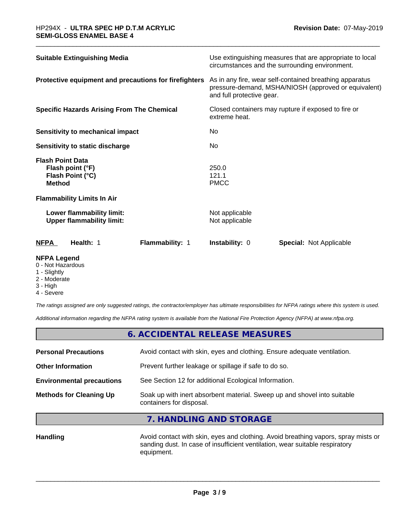| <b>Suitable Extinguishing Media</b>                                              | Use extinguishing measures that are appropriate to local<br>circumstances and the surrounding environment.                                   |  |
|----------------------------------------------------------------------------------|----------------------------------------------------------------------------------------------------------------------------------------------|--|
| Protective equipment and precautions for firefighters                            | As in any fire, wear self-contained breathing apparatus<br>pressure-demand, MSHA/NIOSH (approved or equivalent)<br>and full protective gear. |  |
| <b>Specific Hazards Arising From The Chemical</b>                                | Closed containers may rupture if exposed to fire or<br>extreme heat.                                                                         |  |
| <b>Sensitivity to mechanical impact</b>                                          | No                                                                                                                                           |  |
| Sensitivity to static discharge                                                  | No.                                                                                                                                          |  |
| <b>Flash Point Data</b><br>Flash point (°F)<br>Flash Point (°C)<br><b>Method</b> | 250.0<br>121.1<br><b>PMCC</b>                                                                                                                |  |
| <b>Flammability Limits In Air</b>                                                |                                                                                                                                              |  |
| Lower flammability limit:<br><b>Upper flammability limit:</b>                    | Not applicable<br>Not applicable                                                                                                             |  |
| <b>NFPA</b><br>Health: 1<br><b>Flammability: 1</b>                               | <b>Instability: 0</b><br><b>Special:</b> Not Applicable                                                                                      |  |

#### **NFPA Legend**

- 0 Not Hazardous
- 1 Slightly
- 2 Moderate
- 3 High
- 4 Severe

*The ratings assigned are only suggested ratings, the contractor/employer has ultimate responsibilities for NFPA ratings where this system is used.*

*Additional information regarding the NFPA rating system is available from the National Fire Protection Agency (NFPA) at www.nfpa.org.*

# **6. ACCIDENTAL RELEASE MEASURES**

| <b>Methods for Cleaning Up</b>   | Soak up with inert absorbent material. Sweep up and shovel into suitable<br>containers for disposal. |
|----------------------------------|------------------------------------------------------------------------------------------------------|
| <b>Environmental precautions</b> | See Section 12 for additional Ecological Information.                                                |
| <b>Other Information</b>         | Prevent further leakage or spillage if safe to do so.                                                |
| <b>Personal Precautions</b>      | Avoid contact with skin, eyes and clothing. Ensure adequate ventilation.                             |
|                                  |                                                                                                      |

## **7. HANDLING AND STORAGE**

Handling **Handling Avoid contact with skin, eyes and clothing.** Avoid breathing vapors, spray mists or sanding dust. In case of insufficient ventilation, wear suitable respiratory equipment.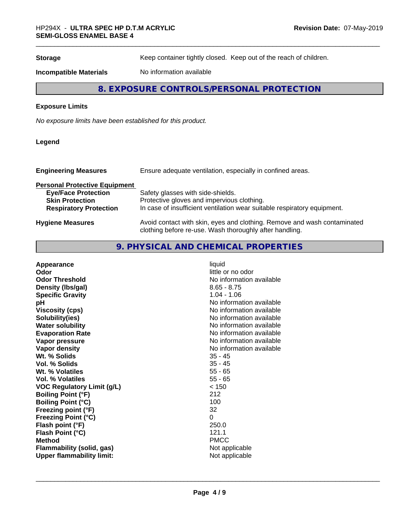**Storage** Keep container tightly closed. Keep out of the reach of children.

**Incompatible Materials** No information available

# **8. EXPOSURE CONTROLS/PERSONAL PROTECTION**

#### **Exposure Limits**

*No exposure limits have been established for this product.*

#### **Legend**

| Ensure adequate ventilation, especially in confined areas.<br><b>Engineering Measures</b> |                                                                          |
|-------------------------------------------------------------------------------------------|--------------------------------------------------------------------------|
| <b>Personal Protective Equipment</b>                                                      |                                                                          |
| <b>Eye/Face Protection</b>                                                                | Safety glasses with side-shields.                                        |
| <b>Skin Protection</b>                                                                    | Protective gloves and impervious clothing.                               |
| <b>Respiratory Protection</b>                                                             | In case of insufficient ventilation wear suitable respiratory equipment. |
| <b>Hygiene Measures</b>                                                                   | Avoid contact with skin, eyes and clothing. Remove and wash contaminated |

clothing before re-use. Wash thoroughly after handling.

# **9. PHYSICAL AND CHEMICAL PROPERTIES**

| Appearance                        | liquid                   |
|-----------------------------------|--------------------------|
| Odor                              | little or no odor        |
| <b>Odor Threshold</b>             | No information available |
| Density (Ibs/gal)                 | $8.65 - 8.75$            |
| <b>Specific Gravity</b>           | $1.04 - 1.06$            |
| рH                                | No information available |
| <b>Viscosity (cps)</b>            | No information available |
| Solubility(ies)                   | No information available |
| <b>Water solubility</b>           | No information available |
| <b>Evaporation Rate</b>           | No information available |
| Vapor pressure                    | No information available |
| Vapor density                     | No information available |
| Wt. % Solids                      | $35 - 45$                |
| <b>Vol. % Solids</b>              | $35 - 45$                |
| Wt. % Volatiles                   | $55 - 65$                |
| <b>Vol. % Volatiles</b>           | $55 - 65$                |
| <b>VOC Regulatory Limit (g/L)</b> | < 150                    |
| <b>Boiling Point (°F)</b>         | 212                      |
| <b>Boiling Point (°C)</b>         | 100                      |
| Freezing point (°F)               | 32                       |
| <b>Freezing Point (°C)</b>        | $\Omega$                 |
| Flash point (°F)                  | 250.0                    |
| Flash Point (°C)                  | 121.1                    |
| <b>Method</b>                     | <b>PMCC</b>              |
| Flammability (solid, gas)         | Not applicable           |
| <b>Upper flammability limit:</b>  | Not applicable           |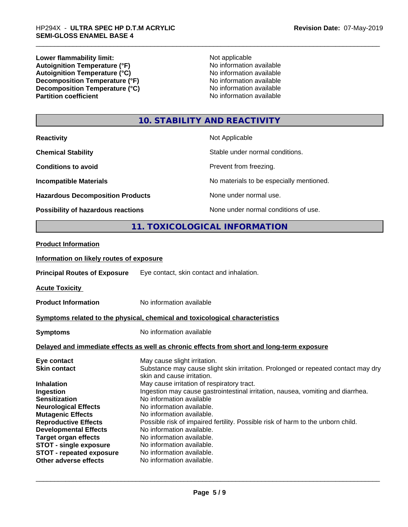**Lower flammability limit:**<br> **Autoignition Temperature (°F)**<br>
Mo information available **Autoignition Temperature (°F)**<br> **Autoignition Temperature (°C)** No information available Autoignition Temperature (°C)<br>
Decomposition Temperature (°F)<br>
No information available **Decomposition Temperature (°F)**<br> **Decomposition Temperature (°C)**<br>
No information available **Decomposition Temperature (°C)**<br>Partition coefficient

**No information available** 

# **10. STABILITY AND REACTIVITY**

| <b>Reactivity</b>                         | Not Applicable                           |
|-------------------------------------------|------------------------------------------|
| <b>Chemical Stability</b>                 | Stable under normal conditions.          |
| <b>Conditions to avoid</b>                | Prevent from freezing.                   |
| <b>Incompatible Materials</b>             | No materials to be especially mentioned. |
| <b>Hazardous Decomposition Products</b>   | None under normal use.                   |
| <b>Possibility of hazardous reactions</b> | None under normal conditions of use.     |

# **11. TOXICOLOGICAL INFORMATION**

#### **Product Information**

#### **Information on likely routes of exposure**

**Principal Routes of Exposure** Eye contact, skin contact and inhalation.

**Acute Toxicity** 

**Product Information** No information available

#### **Symptoms related to the physical,chemical and toxicological characteristics**

**Symptoms** No information available

#### **Delayed and immediate effects as well as chronic effects from short and long-term exposure**

| Eye contact                     | May cause slight irritation.                                                                                    |
|---------------------------------|-----------------------------------------------------------------------------------------------------------------|
| <b>Skin contact</b>             | Substance may cause slight skin irritation. Prolonged or repeated contact may dry<br>skin and cause irritation. |
| <b>Inhalation</b>               | May cause irritation of respiratory tract.                                                                      |
|                                 |                                                                                                                 |
| Ingestion                       | Ingestion may cause gastrointestinal irritation, nausea, vomiting and diarrhea.                                 |
| <b>Sensitization</b>            | No information available                                                                                        |
| <b>Neurological Effects</b>     | No information available.                                                                                       |
| <b>Mutagenic Effects</b>        | No information available.                                                                                       |
| <b>Reproductive Effects</b>     | Possible risk of impaired fertility. Possible risk of harm to the unborn child.                                 |
| <b>Developmental Effects</b>    | No information available.                                                                                       |
| <b>Target organ effects</b>     | No information available.                                                                                       |
| <b>STOT - single exposure</b>   | No information available.                                                                                       |
| <b>STOT - repeated exposure</b> | No information available.                                                                                       |
| Other adverse effects           | No information available.                                                                                       |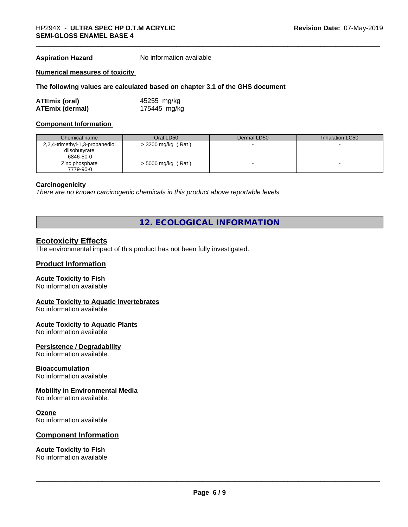**Aspiration Hazard** No information available

#### **Numerical measures of toxicity**

#### **The following values are calculated based on chapter 3.1 of the GHS document**

| <b>ATEmix (oral)</b>   | 45255 mg/kg  |
|------------------------|--------------|
| <b>ATEmix (dermal)</b> | 175445 mg/kg |

#### **Component Information**

| Chemical name                   | Oral LD50            | Dermal LD50 | Inhalation LC50 |
|---------------------------------|----------------------|-------------|-----------------|
| 2,2,4-trimethyl-1,3-propanediol | $>$ 3200 mg/kg (Rat) |             |                 |
| diisobutyrate                   |                      |             |                 |
| 6846-50-0                       |                      |             |                 |
| Zinc phosphate                  | $>$ 5000 mg/kg (Rat) |             |                 |
| 7779-90-0                       |                      |             |                 |

#### **Carcinogenicity**

*There are no known carcinogenic chemicals in this product above reportable levels.*

# **12. ECOLOGICAL INFORMATION**

### **Ecotoxicity Effects**

The environmental impact of this product has not been fully investigated.

#### **Product Information**

#### **Acute Toxicity to Fish**

No information available

#### **Acute Toxicity to Aquatic Invertebrates**

No information available

#### **Acute Toxicity to Aquatic Plants**

No information available

#### **Persistence / Degradability**

No information available.

#### **Bioaccumulation**

No information available.

#### **Mobility in Environmental Media**

No information available.

#### **Ozone**

No information available

#### **Component Information**

### **Acute Toxicity to Fish**

No information available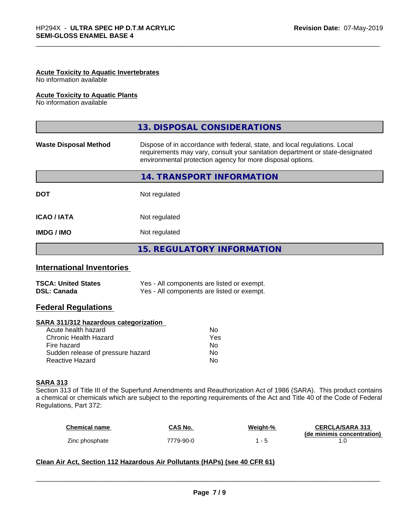#### **Acute Toxicity to Aquatic Invertebrates**

No information available

#### **Acute Toxicity to Aquatic Plants**

No information available

|                              | 13. DISPOSAL CONSIDERATIONS                                                                                                                                                                                               |
|------------------------------|---------------------------------------------------------------------------------------------------------------------------------------------------------------------------------------------------------------------------|
| <b>Waste Disposal Method</b> | Dispose of in accordance with federal, state, and local regulations. Local<br>requirements may vary, consult your sanitation department or state-designated<br>environmental protection agency for more disposal options. |
|                              | 14. TRANSPORT INFORMATION                                                                                                                                                                                                 |
| <b>DOT</b>                   | Not regulated                                                                                                                                                                                                             |
| <b>ICAO/IATA</b>             | Not regulated                                                                                                                                                                                                             |
| <b>IMDG/IMO</b>              | Not regulated                                                                                                                                                                                                             |
|                              | 15. REGULATORY INFORMATION                                                                                                                                                                                                |

### **International Inventories**

| <b>TSCA: United States</b> | Yes - All components are listed or exempt. |
|----------------------------|--------------------------------------------|
| <b>DSL: Canada</b>         | Yes - All components are listed or exempt. |

## **Federal Regulations**

#### **SARA 311/312 hazardous categorization**

| No. |
|-----|
| Yes |
| N٥  |
| Nο  |
| N٥  |
|     |

#### **SARA 313**

Section 313 of Title III of the Superfund Amendments and Reauthorization Act of 1986 (SARA). This product contains a chemical or chemicals which are subject to the reporting requirements of the Act and Title 40 of the Code of Federal Regulations, Part 372:

| <b>Chemical name</b> | <b>CAS No.</b> | Weight-% | <b>CERCLA/SARA 313</b>     |
|----------------------|----------------|----------|----------------------------|
|                      |                |          | (de minimis concentration) |
| Zinc phosphate       | 7779-90-0      |          |                            |

 $\overline{\phantom{a}}$  ,  $\overline{\phantom{a}}$  ,  $\overline{\phantom{a}}$  ,  $\overline{\phantom{a}}$  ,  $\overline{\phantom{a}}$  ,  $\overline{\phantom{a}}$  ,  $\overline{\phantom{a}}$  ,  $\overline{\phantom{a}}$  ,  $\overline{\phantom{a}}$  ,  $\overline{\phantom{a}}$  ,  $\overline{\phantom{a}}$  ,  $\overline{\phantom{a}}$  ,  $\overline{\phantom{a}}$  ,  $\overline{\phantom{a}}$  ,  $\overline{\phantom{a}}$  ,  $\overline{\phantom{a}}$ 

#### **Clean Air Act,Section 112 Hazardous Air Pollutants (HAPs) (see 40 CFR 61)**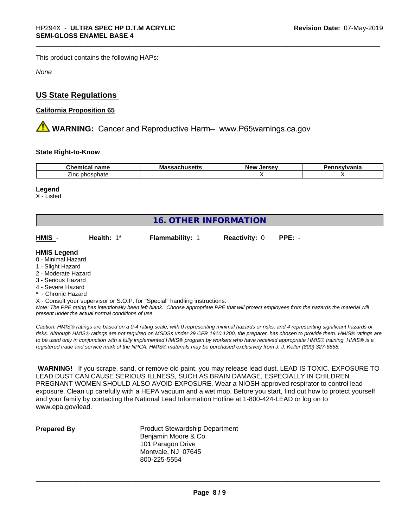This product contains the following HAPs:

*None*

# **US State Regulations**

#### **California Proposition 65**

**A WARNING:** Cancer and Reproductive Harm– www.P65warnings.ca.gov

#### **State Right-to-Know**

| Cher<br>-----<br>name<br>шса            | Mas<br>…ad∪llu∂ <del>c</del> uə | larcay<br><b>NAV</b><br>. .<br>$\cdot$<br>$-1$ | nsvlvania |
|-----------------------------------------|---------------------------------|------------------------------------------------|-----------|
| - -<br>. nhoenhotr<br>Zinc:<br>nosphate |                                 |                                                |           |

#### **Legend**

X - Listed

| <b>16. OTHER INFORMATION</b>                                                                                                                          |            |                                                                            |                      |          |
|-------------------------------------------------------------------------------------------------------------------------------------------------------|------------|----------------------------------------------------------------------------|----------------------|----------|
| HMIS -                                                                                                                                                | Health: 1* | <b>Flammability: 1</b>                                                     | <b>Reactivity: 0</b> | $PPE: -$ |
| <b>HMIS Legend</b><br>0 - Minimal Hazard<br>1 - Slight Hazard<br>2 - Moderate Hazard<br>3 - Serious Hazard<br>4 - Severe Hazard<br>* - Chronic Hazard |            | X - Consult your supervisor or S.O.P. for "Special" handling instructions. |                      |          |

*Note: The PPE rating has intentionally been left blank. Choose appropriate PPE that will protect employees from the hazards the material will present under the actual normal conditions of use.*

*Caution: HMISÒ ratings are based on a 0-4 rating scale, with 0 representing minimal hazards or risks, and 4 representing significant hazards or risks. Although HMISÒ ratings are not required on MSDSs under 29 CFR 1910.1200, the preparer, has chosen to provide them. HMISÒ ratings are to be used only in conjunction with a fully implemented HMISÒ program by workers who have received appropriate HMISÒ training. HMISÒ is a registered trade and service mark of the NPCA. HMISÒ materials may be purchased exclusively from J. J. Keller (800) 327-6868.*

 **WARNING!** If you scrape, sand, or remove old paint, you may release lead dust. LEAD IS TOXIC. EXPOSURE TO LEAD DUST CAN CAUSE SERIOUS ILLNESS, SUCH AS BRAIN DAMAGE, ESPECIALLY IN CHILDREN. PREGNANT WOMEN SHOULD ALSO AVOID EXPOSURE. Wear a NIOSH approved respirator to control lead exposure. Clean up carefully with a HEPA vacuum and a wet mop. Before you start, find out how to protect yourself and your family by contacting the National Lead Information Hotline at 1-800-424-LEAD or log on to www.epa.gov/lead.

**Prepared By** Product Stewardship Department Benjamin Moore & Co. 101 Paragon Drive Montvale, NJ 07645 800-225-5554